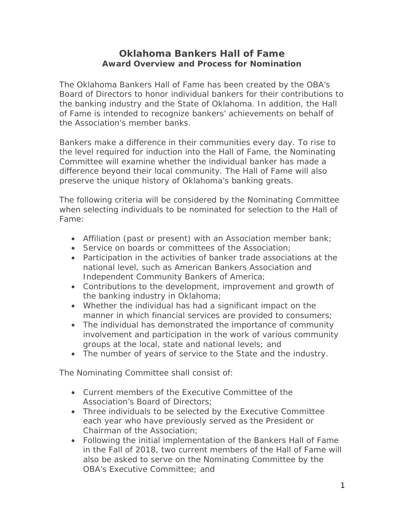## **Oklahoma Bankers Hall of Fame Award Overview and Process for Nomination**

The Oklahoma Bankers Hall of Fame has been created by the OBA's Board of Directors to honor individual bankers for their contributions to the banking industry and the State of Oklahoma. In addition, the Hall of Fame is intended to recognize bankers' achievements on behalf of the Association's member banks.

Bankers make a difference in their communities every day. To rise to the level required for induction into the Hall of Fame, the Nominating Committee will examine whether the individual banker has made a difference beyond their local community. The Hall of Fame will also preserve the unique history of Oklahoma's banking greats.

The following criteria will be considered by the Nominating Committee when selecting individuals to be nominated for selection to the Hall of Fame:

- Affiliation (past or present) with an Association member bank;
- Service on boards or committees of the Association;
- Participation in the activities of banker trade associations at the national level, such as American Bankers Association and Independent Community Bankers of America;
- Contributions to the development, improvement and growth of the banking industry in Oklahoma;
- Whether the individual has had a significant impact on the manner in which financial services are provided to consumers;
- The individual has demonstrated the importance of community involvement and participation in the work of various community groups at the local, state and national levels; and
- The number of years of service to the State and the industry.

The Nominating Committee shall consist of:

- Current members of the Executive Committee of the Association's Board of Directors;
- Three individuals to be selected by the Executive Committee each year who have previously served as the President or Chairman of the Association;
- Following the initial implementation of the Bankers Hall of Fame in the Fall of 2018, two current members of the Hall of Fame will also be asked to serve on the Nominating Committee by the OBA's Executive Committee; and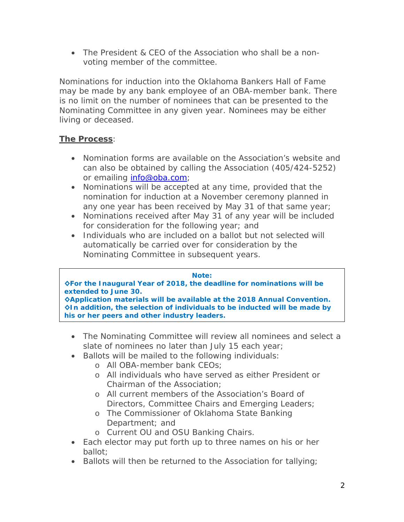• The President & CEO of the Association who shall be a nonvoting member of the committee.

Nominations for induction into the Oklahoma Bankers Hall of Fame may be made by any bank employee of an OBA-member bank. There is no limit on the number of nominees that can be presented to the Nominating Committee in any given year. Nominees may be either living or deceased.

## **The Process**:

- Nomination forms are available on the Association's website and can also be obtained by calling the Association (405/424-5252) or emailing [info@oba.com;](mailto:info@oba.com)
- Nominations will be accepted at any time, provided that the nomination for induction at a November ceremony planned in any one year has been received by May 31 of that same year;
- Nominations received after May 31 of any year will be included for consideration for the following year; and
- Individuals who are included on a ballot but not selected will automatically be carried over for consideration by the Nominating Committee in subsequent years.

## *Note:*

*◊For the Inaugural Year of 2018, the deadline for nominations will be extended to June 30. ◊Application materials will be available at the 2018 Annual Convention. ◊In addition, the selection of individuals to be inducted will be made by* 

*his or her peers and other industry leaders.* 

- The Nominating Committee will review all nominees and select a slate of nominees no later than July 15 each year;
- Ballots will be mailed to the following individuals:
	- o All OBA-member bank CEOs;
	- o All individuals who have served as either President or Chairman of the Association;
	- o All current members of the Association's Board of Directors, Committee Chairs and Emerging Leaders;
	- o The Commissioner of Oklahoma State Banking Department; and
	- o Current OU and OSU Banking Chairs.
- Each elector may put forth up to three names on his or her ballot;
- Ballots will then be returned to the Association for tallying;